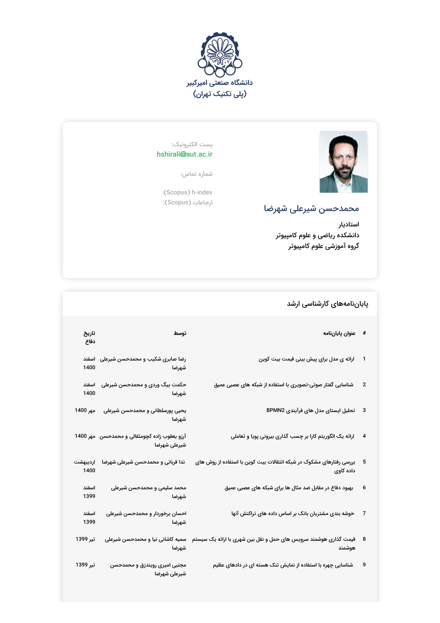



## پست الکترونیک: hshirali@aut.ac.ir

شماره تماس:

:(Scopus) h-index ارجاعات (Scopus):

## محمدحسن شیرعلی شهرضا

استادیار دانشکده ریاضی و علوم کامپیوتر گروه آموزشی علوم کامپیوتر

## پایاننامههای کارشناسی ارشد

| تاريخ<br>دفاع    | توسط                                                                                                                                                                                                                                                               | # عنوان پاياننامه                                                                                            |                         |
|------------------|--------------------------------------------------------------------------------------------------------------------------------------------------------------------------------------------------------------------------------------------------------------------|--------------------------------------------------------------------------------------------------------------|-------------------------|
| 1400             | رضا صابری شکیب و محمدحسن شیرعلی   اسفند<br>شهرضا المستحدث                                                                                                                                                                                                          | ارائه ی مدل برای پیش بینی قیمت بیت کوین                                                                      |                         |
| اسفند<br>1400    | حکمت بیگ وردی و محمدحسن شیرعلی<br>شهرضا المستخدم المستخدم المستخدم المستخدم المستخدم المستخدم المستخدم المستخدم المستخدم المستخدم المستخدم المست<br>المستخدم المستخدم المستخدم المستخدم المستخدم المستخدم المستخدم المستخدم المستخدم المستخدم المستخدم المستخدم ال | شناسایی گفتار صوتی-تصویری با استفاده از شبکه های عصبی عمیق                                                   | $\overline{\mathbf{c}}$ |
| مهر 1400         | یحیی پورسلطانی و محمدحسن شیرعلی<br>شهرضا                                                                                                                                                                                                                           | تحلیل ایستای مدل های فرآیندی BPMN2                                                                           | 3                       |
|                  | آرزو یعقوب زاده کچومثقالی و محمدحسن   مهر 1400<br>شيرعلى شهرضا                                                                                                                                                                                                     | ارائه یک الگوریتم کارا بر چسب گذاری بیرونی پویا و تعاملی                                                     | 4                       |
| ارديبهشت<br>1400 | ندا قربانی و محمدحسن شیرعلی شهرضا                                                                                                                                                                                                                                  | بررسی رفتارهای مشکوک در شبکه انتقالات بیت کوین با استفاده از روش های<br>داده کاوي                            |                         |
| اسفند<br>1399    | محمد سلیمی و محمدحسن شیرعلی<br>شهرضا                                                                                                                                                                                                                               | بهبود دفاع در مقابل ضد مثال ها برای شبکه های عصبی عمیق                                                       | 6                       |
| اسفند<br>1399    | احسان برخوردار و محمدحسن شیرعلی<br>شهرضا                                                                                                                                                                                                                           | خوشه بندی مشتریان بانک بر اساس داده های تراکنش آنها                                                          | 7                       |
| تير 1399         | شهرضا                                                                                                                                                                                                                                                              | قیمت گذاری هوشمند سرویس های حمل و نقل بین شهری با ارائه یک سیستم ۃسمیه کاشانی نیا و محمدحسن شیرعلی<br>هوشمند | - 8                     |
| تير 1399         | مجتبی امیری رویندزق و محمدحسن<br>شيرعلى شهرضا                                                                                                                                                                                                                      | شناسایی چهره با استفاده از نمایش تنک هسته ای در دادهای عظیم                                                  | 9                       |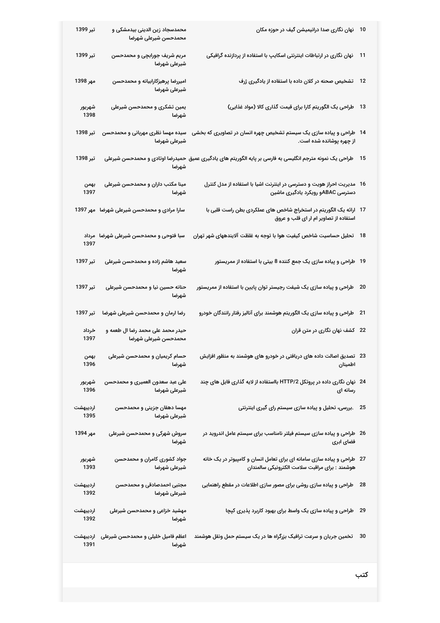| تير 1399         | محمدسجاد زین الدینی بیدمشکی و<br>محمدحسن شيرعلى شهرضا    | نهان نگاری صدا درانیمیشن گیف در حوزه مکان                                                                                            | 10   |
|------------------|----------------------------------------------------------|--------------------------------------------------------------------------------------------------------------------------------------|------|
| تير 1399         | مریم شریف جورابچی و محمدحسن<br>شيرعلى شهرضا              | نهان نگاری در ارتباطات اینترنتی اسکایپ با استفاده از پردازنده گرافیکی                                                                | 11   |
| مهر 1398         | امیررضا پرهیزکارابیانه و محمدحسن<br>شيرعلى شهرضا         | تشخیص صحنه در کلان داده با استفاده از یادگیری ژرف                                                                                    | 12   |
| شهريور<br>1398   | یمین تشکری و محمدحسن شیرعلی<br>شهرضا                     | طراحی یک الگوریتم کارا برای قیمت گذاری کالا (مواد غذایی)                                                                             | 13   |
| تير 1398         | شيرعلى شهرضا                                             | 14   طراحی و پیاده سازی یک سیستم تشخیص چهره انسان در تصاویری که بخشی    سیده مهسا نظری مهربانی و محمدحسن<br>از چهره پوشانده شده است. |      |
| تير 1398         | شهرضا                                                    | طراحی یک نمونه مترجم انگلیسی به فارسی بر پایه الگوریتم های یادگیری عمیق حمیدرضا اوتادی و محمدحسن شیرعلی                              | 15   |
| بهمن<br>1397     | مینا مکتب داران و محمدحسن شیرعلی<br>شهرضا                | 16 ً مدیریت احراز هویت و دسترسی در اینترنت اشیا با استفاده از مدل کنترل<br>دسترسی ABACو رویکرد یادگیری ماشین                         |      |
|                  | سارا مرادی و محمدحسن شیرعلی شهرضا   مهر 1397             | 17   ارائه یک الگوریتم در استخراج شاخص های عملکردی بطن راست قلبی با<br>استفاده از تصاویر ام ار ای قلب و عروق                         |      |
| 1397             | سبا فتوحى و محمدحسن شيرعلى شهرضا ً مرداد                 | 18    تحلیل حساسیت شاخص کیفیت هوا با توجه به غلظت آلایندههای شهر تهران                                                               |      |
| تير 1397         | سعید هاشم زاده و محمدحسن شیرعلی<br>شهرضا                 | 19   طراحی و پیاده سازی یک جمع کننده 8 بیتی با استفاده از ممریستور                                                                   |      |
| تير 1397         | حنانه حسین نیا و محمدحسن شیرعلی<br>شهرضا                 | طراحی و پیاده سازی یک شیفت رجیستر توان پایین با استفاده از ممریستور                                                                  | 20   |
| تير 1397         | رضا ارمان و محمدحسن شیرعلی شهرضا                         | طراحی و پیاده سازی یک الگوریتم هوشمند برای آنالیز رفتار رانندگان خودرو                                                               | 21   |
| خرداد<br>1397    | حیدر محمد علی محمد رضا ال طعمه و<br>محمدحسن شيرعلى شهرضا | 22 كشف نهان نگارى در متن قران                                                                                                        |      |
| بهمن<br>1396     | حسام کریمیان و محمدحسن شیرعلی<br>شهرضا                   | 23   تصدیق اصالت داده های دریافتی در خودرو های هوشمند به منظور افزایش<br>اطمينان                                                     |      |
| شهريور<br>1396   | علی عبد سعدون العمیری و محمدحسن<br>شيرعلى شهرضا          | 24   نهان نگاری داده در پروتکل HTTP/2 بااستفاده از لایه گذاری فایل های چند<br>رسانه ای                                               |      |
| ارديبهشت<br>1395 | مهسا دهقان جزينى و محمدحسن<br>شيرعلى شهرضا               | .بررسی، تحلیل و پیاده سازی سیستم رای گیری اینترنتی                                                                                   | - 25 |
| مهر 1394         | سروش شهرکی و محمدحسن شیرعلی<br>شهرضا                     | 26   طراحی و پیاده سازی سیستم فیلتر نامناسب برای سیستم عامل اندروید در<br>فضای ابری                                                  |      |
| شهريور<br>1393   | جواد کشوری کامران و محمدحسن<br>شيرعلى شهرضا              | 27   طراحی و پیاده سازی سامانه ای برای تعامل انسان و کامپیوتر در یک خانه<br>هوشمند : برای مراقبت سلامت الکترونیکی سالمندان           |      |
| ارديبهشت<br>1392 | مجتبی احمدصادقی و محمدحسن<br>شيرعلى شهرضا                | طراحی و پیاده سازی روشی برای مصور سازی اطلاعات در مقطع راهنمایی                                                                      | - 28 |
| ارديبهشت<br>1392 | مهشید خزاعی و محمدحسن شیرعلی<br>شهرضا                    | طراحی و پیاده سازی یک واسط برای بهبود کاربرد پذیری کپچا                                                                              | 29   |
| ارديبهشت<br>1391 | اعظم فامیل خلیلی و محمدحسن شیرعلی<br>شهرضا               | تخمین جریان و سرعت ترافیک بزرگراه ها در یک سیستم حمل ونقل هوشمند                                                                     | 30   |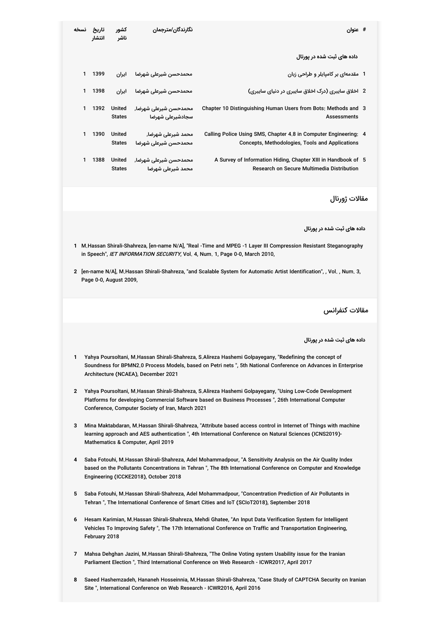| نسخه                                                                                                                                                                                                                                                             | تاريخ<br>انتشار                                                                                                                                                                                                                                                         | کشور<br>ناشر                   | نگارندگان/مترجمان                                                       | # عنوان                                                                                                                                                                                                    |  |
|------------------------------------------------------------------------------------------------------------------------------------------------------------------------------------------------------------------------------------------------------------------|-------------------------------------------------------------------------------------------------------------------------------------------------------------------------------------------------------------------------------------------------------------------------|--------------------------------|-------------------------------------------------------------------------|------------------------------------------------------------------------------------------------------------------------------------------------------------------------------------------------------------|--|
|                                                                                                                                                                                                                                                                  |                                                                                                                                                                                                                                                                         |                                |                                                                         | داده های ثبت شده در پورتال                                                                                                                                                                                 |  |
| 1                                                                                                                                                                                                                                                                | 1399                                                                                                                                                                                                                                                                    | ايران                          | محمدحسن شيرعلى شهرضا                                                    | 1 ً مقدمهای بر کامپایلر و طراحی زبان                                                                                                                                                                       |  |
| 1                                                                                                                                                                                                                                                                | 1398                                                                                                                                                                                                                                                                    | ايران                          | محمدحسن شيرعلى شهرضا                                                    | 2 ۔ اخلاق سایبری (درک اخلاق سایبری در دنیای سایبری)                                                                                                                                                        |  |
| 1                                                                                                                                                                                                                                                                | 1392                                                                                                                                                                                                                                                                    | United<br><b>States</b>        | محمدحسن شيرعلى شهرضا,<br>سجادشيرعلى شهرضا                               | Chapter 10 Distinguishing Human Users from Bots: Methods and 3<br><b>Assessments</b>                                                                                                                       |  |
| 1                                                                                                                                                                                                                                                                | 1390                                                                                                                                                                                                                                                                    | <b>United</b><br><b>States</b> | محمد شیرعلی شهرضا,<br>محمدحسن شيرعلى شهرضا                              | Calling Police Using SMS, Chapter 4.8 in Computer Engineering: 4<br>Concepts, Methodologies, Tools and Applications                                                                                        |  |
| 1                                                                                                                                                                                                                                                                | 1388                                                                                                                                                                                                                                                                    | United<br><b>States</b>        | محمدحسن شيرعلى شهرضا,<br>محمد شيرعلى شهرضا                              | A Survey of Information Hiding, Chapter XIII in Handbook of 5<br>Research on Secure Multimedia Distribution                                                                                                |  |
|                                                                                                                                                                                                                                                                  |                                                                                                                                                                                                                                                                         |                                |                                                                         | مقالات ژورنال                                                                                                                                                                                              |  |
|                                                                                                                                                                                                                                                                  |                                                                                                                                                                                                                                                                         |                                |                                                                         | داده های ثبت شده در پورتال                                                                                                                                                                                 |  |
| 1                                                                                                                                                                                                                                                                |                                                                                                                                                                                                                                                                         |                                |                                                                         | M.Hassan Shirali-Shahreza, [en-name N/A], "Real -Time and MPEG -1 Layer III Compression Resistant Steganography<br>in Speech", IET INFORMATION SECURITY, Vol. 4, Num. 1, Page 0-0, March 2010,             |  |
| 2 [en-name N/A], M.Hassan Shirali-Shahreza, "and Scalable System for Automatic Artist Identification", , Vol., Num. 3,<br>Page 0-0, August 2009,                                                                                                                 |                                                                                                                                                                                                                                                                         |                                |                                                                         |                                                                                                                                                                                                            |  |
|                                                                                                                                                                                                                                                                  |                                                                                                                                                                                                                                                                         |                                |                                                                         | مقالات كنفرانس                                                                                                                                                                                             |  |
|                                                                                                                                                                                                                                                                  |                                                                                                                                                                                                                                                                         |                                |                                                                         | داده های ثبت شده در پورتال                                                                                                                                                                                 |  |
| Yahya Poursoltani, M.Hassan Shirali-Shahreza, S.Alireza Hashemi Golpayegany, "Redefining the concept of<br>Soundness for BPMN2.0 Process Models, based on Petri nets ", 5th National Conference on Advances in Enterprise<br>Architecture (NCAEA), December 2021 |                                                                                                                                                                                                                                                                         |                                |                                                                         |                                                                                                                                                                                                            |  |
| 2                                                                                                                                                                                                                                                                | Yahya Poursoltani, M.Hassan Shirali-Shahreza, S.Alireza Hashemi Golpayegany, "Using Low-Code Development<br>Platforms for developing Commercial Software based on Business Processes ", 26th International Computer<br>Conference, Computer Society of Iran, March 2021 |                                |                                                                         |                                                                                                                                                                                                            |  |
| 3                                                                                                                                                                                                                                                                | Mina Maktabdaran, M.Hassan Shirali-Shahreza, "Attribute based access control in Internet of Things with machine<br>learning approach and AES authentication ", 4th International Conference on Natural Sciences (ICNS2019)-<br>Mathematics & Computer, April 2019       |                                |                                                                         |                                                                                                                                                                                                            |  |
| 4                                                                                                                                                                                                                                                                | Saba Fotouhi, M.Hassan Shirali-Shahreza, Adel Mohammadpour, "A Sensitivity Analysis on the Air Quality Index<br>based on the Pollutants Concentrations in Tehran ", The 8th International Conference on Computer and Knowledge<br>Engineering (ICCKE2018), October 2018 |                                |                                                                         |                                                                                                                                                                                                            |  |
| 5                                                                                                                                                                                                                                                                | Saba Fotouhi, M.Hassan Shirali-Shahreza, Adel Mohammadpour, "Concentration Prediction of Air Pollutants in<br>Tehran ", The International Conference of Smart Cities and IoT (SCIoT2018), September 2018                                                                |                                |                                                                         |                                                                                                                                                                                                            |  |
| 6                                                                                                                                                                                                                                                                | Hesam Karimian, M.Hassan Shirali-Shahreza, Mehdi Ghatee, "An Input Data Verification System for Intelligent<br>Vehicles To Improving Safety", The 17th International Conference on Traffic and Transportation Engineering,<br>February 2018                             |                                |                                                                         |                                                                                                                                                                                                            |  |
| 7                                                                                                                                                                                                                                                                |                                                                                                                                                                                                                                                                         |                                |                                                                         | Mahsa Dehghan Jazini, M.Hassan Shirali-Shahreza, "The Online Voting system Usability issue for the Iranian<br>Parliament Election ", Third International Conference on Web Research - ICWR2017, April 2017 |  |
| 8                                                                                                                                                                                                                                                                |                                                                                                                                                                                                                                                                         |                                | Site ", International Conference on Web Research - ICWR2016, April 2016 | Saeed Hashemzadeh, Hananeh Hosseinnia, M.Hassan Shirali-Shahreza, "Case Study of CAPTCHA Security on Iranian                                                                                               |  |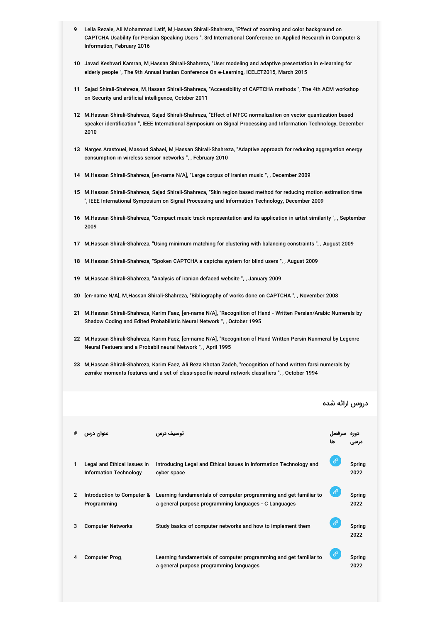- **9** Leila Rezaie, Ali Mohammad Latif, M.Hassan Shirali-Shahreza, "Effect of zooming and color background on CAPTCHA Usability for Persian Speaking Users ", 3rd International Conference on Applied Research in Computer & Information, February 2016
- **10** Javad Keshvari Kamran, M.Hassan Shirali-Shahreza, "User modeling and adaptive presentation in e-learning for elderly people ", The 9th Annual Iranian Conference On e-Learning, ICELET2015, March 2015
- **11** Sajad Shirali-Shahreza, M.Hassan Shirali-Shahreza, "Accessibility of CAPTCHA methods ", The 4th ACM workshop on Security and artificial intelligence, October 2011
- **12** M.Hassan Shirali-Shahreza, Sajad Shirali-Shahreza, "Effect of MFCC normalization on vector quantization based speaker identification ", IEEE International Symposium on Signal Processing and Information Technology, December 2010
- **13** Narges Arastouei, Masoud Sabaei, M.Hassan Shirali-Shahreza, "Adaptive approach for reducing aggregation energy consumption in wireless sensor networks ", , February 2010
- **14** M.Hassan Shirali-Shahreza, [en-name N/A], "Large corpus of iranian music ", , December 2009
- **15** M.Hassan Shirali-Shahreza, Sajad Shirali-Shahreza, "Skin region based method for reducing motion estimation time ", IEEE International Symposium on Signal Processing and Information Technology, December 2009
- **16** M.Hassan Shirali-Shahreza, "Compact music track representation and its application in artist similarity ", , September 2009
- **17** M.Hassan Shirali-Shahreza, "Using minimum matching for clustering with balancing constraints ", , August 2009
- **18** M.Hassan Shirali-Shahreza, "Spoken CAPTCHA a captcha system for blind users ", , August 2009
- **19** M.Hassan Shirali-Shahreza, "Analysis of iranian defaced website ", , January 2009
- **20** [en-name N/A], M.Hassan Shirali-Shahreza, "Bibliography of works done on CAPTCHA ", , November 2008
- **21** M.Hassan Shirali-Shahreza, Karim Faez, [en-name N/A], "Recognition of Hand Written Persian/Arabic Numerals by Shadow Coding and Edited Probabilistic Neural Network ", , October 1995
- **22** M.Hassan Shirali-Shahreza, Karim Faez, [en-name N/A], "Recognition of Hand Written Persin Nunmeral by Legenre Neural Featuers and a Probabil neural Network ", , April 1995
- **23** M.Hassan Shirali-Shahreza, Karim Faez, Ali Reza Khotan Zadeh, "recognition of hand written farsi numerals by zernike moments features and a set of class-specifie neural network classifiers ", , October 1994

|                |                                                              |                                                                                                                            | دروس ارائه شده |                |
|----------------|--------------------------------------------------------------|----------------------------------------------------------------------------------------------------------------------------|----------------|----------------|
| #              | عنوان درس                                                    | توصيف درس                                                                                                                  |                |                |
| 1              | Legal and Ethical Issues in<br><b>Information Technology</b> | Introducing Legal and Ethical Issues in Information Technology and<br>cyber space                                          | ℰ              | Spring<br>2022 |
| $\overline{2}$ | Introduction to Computer &<br>Programming                    | Learning fundamentals of computer programming and get familiar to<br>a general purpose programming languages - C Languages | ℰ              | Spring<br>2022 |
| 3              | <b>Computer Networks</b>                                     | Study basics of computer networks and how to implement them                                                                | ℰ              | Spring<br>2022 |
| 4              | Computer Prog.                                               | Learning fundamentals of computer programming and get familiar to<br>a general purpose programming languages               | ℰ              | Spring<br>2022 |